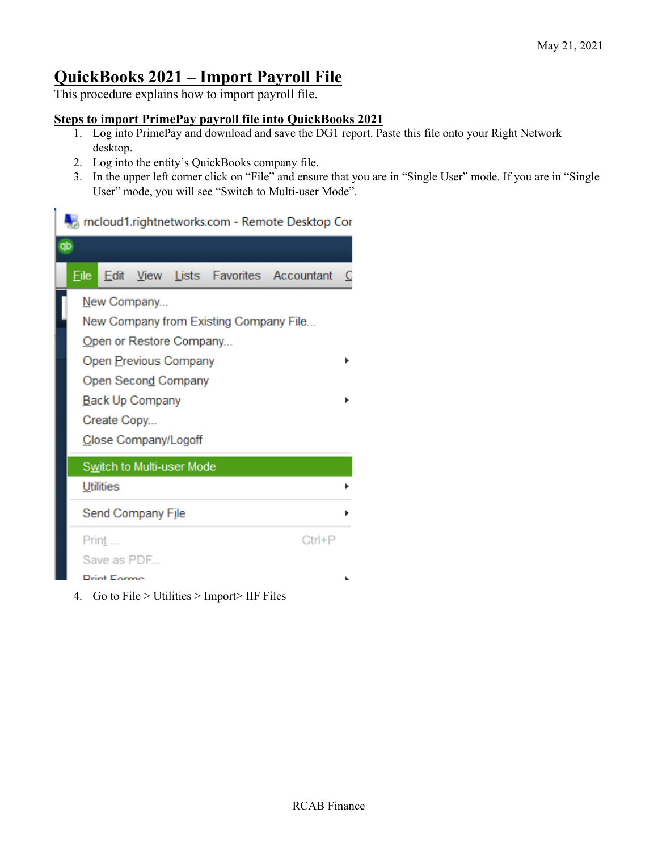## **QuickBooks 2021 – Import Payroll File**

This procedure explains how to import payroll file.

## **Steps to import PrimePay payroll file into QuickBooks 2021**

- 1. Log into PrimePay and download and save the DG1 report. Paste this file onto your Right Network desktop.
- 2. Log into the entity's QuickBooks company file.
- 3. In the upper left corner click on "File" and ensure that you are in "Single User" mode. If you are in "Single User" mode, you will see "Switch to Multi-user Mode".

## ricloud1.rightnetworks.com - Remote Desktop Cor



4. Go to File > Utilities > Import> IIF Files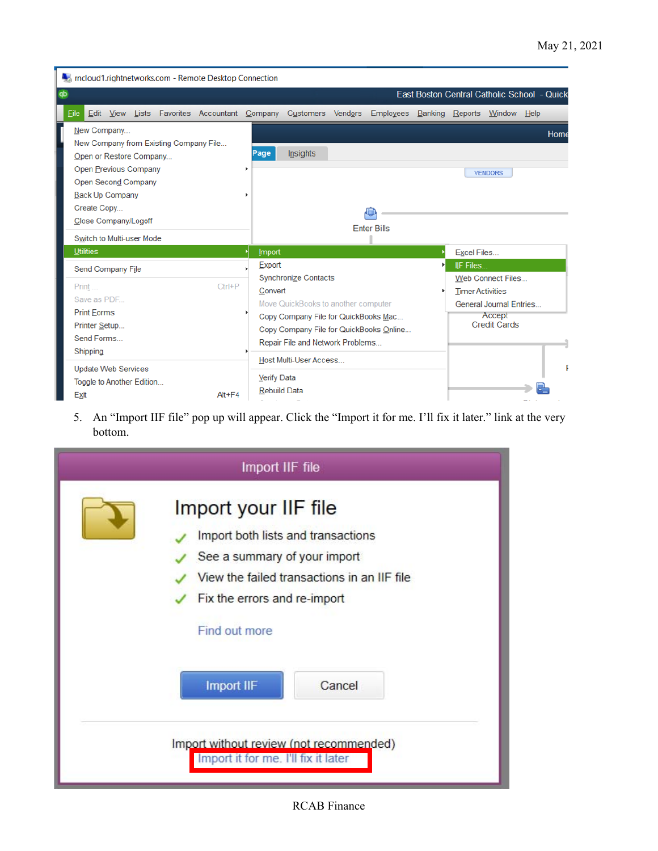| <b>A</b> , mcloud1.rightnetworks.com - Remote Desktop Connection                                                                                                                                                                      |                                                                                                                                                                                                                |         |                                                                                                                                            |      |  |  |  |  |  |
|---------------------------------------------------------------------------------------------------------------------------------------------------------------------------------------------------------------------------------------|----------------------------------------------------------------------------------------------------------------------------------------------------------------------------------------------------------------|---------|--------------------------------------------------------------------------------------------------------------------------------------------|------|--|--|--|--|--|
| qb                                                                                                                                                                                                                                    |                                                                                                                                                                                                                |         | East Boston Central Catholic School - Quick                                                                                                |      |  |  |  |  |  |
| Eile<br>Edit View Lists<br>Favorites Accountant Company                                                                                                                                                                               | Customers<br><b>Employees</b><br>Vendors                                                                                                                                                                       | Banking | Reports Window Help                                                                                                                        |      |  |  |  |  |  |
| New Company<br>New Company from Existing Company File<br>Open or Restore Company<br>Open Previous Company<br><b>Open Second Company</b><br><b>Back Up Company</b><br>Create Copy<br>Close Company/Logoff<br>Switch to Multi-user Mode | <b>Insights</b><br>Page<br><b>Enter Bills</b>                                                                                                                                                                  |         | <b>VENDORS</b>                                                                                                                             | Home |  |  |  |  |  |
| <b>Utilities</b>                                                                                                                                                                                                                      | <b>Import</b>                                                                                                                                                                                                  |         | <b>Excel Files</b>                                                                                                                         |      |  |  |  |  |  |
| Send Company File<br>$Ctrl + P$<br>Print<br>Save as PDF<br><b>Print Forms</b><br>Printer Setup<br>Send Forms<br>Shipping                                                                                                              | Export<br><b>Synchronize Contacts</b><br>Convert<br>Move QuickBooks to another computer<br>Copy Company File for QuickBooks Mac<br>Copy Company File for QuickBooks Online<br>Repair File and Network Problems |         | <b>IIF Files</b><br><b>Web Connect Files</b><br><b>Timer Activities</b><br><b>General Journal Entries</b><br>Accept<br><b>Credit Cards</b> |      |  |  |  |  |  |
| <b>Update Web Services</b><br>Toggle to Another Edition<br>$Alt + F4$<br>Exit                                                                                                                                                         | Host Multi-User Access<br><b>Verify Data</b><br><b>Rebuild Data</b>                                                                                                                                            |         |                                                                                                                                            | F    |  |  |  |  |  |

5. An "Import IIF file" pop up will appear. Click the "Import it for me. I'll fix it later." link at the very bottom.

| Import IIF file |                                                                                                                                                                                                                           |  |  |  |  |  |
|-----------------|---------------------------------------------------------------------------------------------------------------------------------------------------------------------------------------------------------------------------|--|--|--|--|--|
|                 | Import your IIF file<br>Import both lists and transactions<br>See a summary of your import<br>View the failed transactions in an IIF file<br>Fix the errors and re-import<br>Find out more<br><b>Import IIF</b><br>Cancel |  |  |  |  |  |
|                 | Import without review (not recommended)<br>Import it for me. I'll fix it later                                                                                                                                            |  |  |  |  |  |

RCAB Finance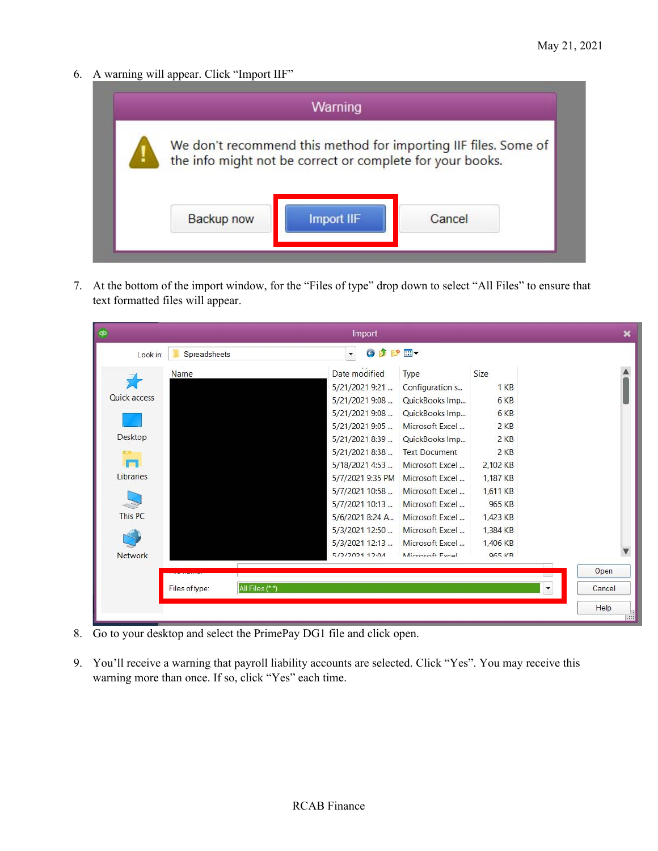6. A warning will appear. Click "Import IIF"



7. At the bottom of the import window, for the "Files of type" drop down to select "All Files" to ensure that text formatted files will appear.

| ۰              |                                   | Import                            |                      |                      | ×                                |
|----------------|-----------------------------------|-----------------------------------|----------------------|----------------------|----------------------------------|
| Look in:       | Spreadsheets                      | ⊜<br>P<br>$\overline{\mathbf{v}}$ | $\mathbb{H}$         |                      |                                  |
|                | Name                              | Date modified                     | <b>Type</b>          | Size                 |                                  |
|                |                                   | 5/21/2021 9:21                    | Configuration s      | 1 <sub>K</sub> B     |                                  |
| Quick access   |                                   | 5/21/2021 9:08                    | QuickBooks Imp       | 6 KB                 |                                  |
|                |                                   | 5/21/2021 9:08                    | QuickBooks Imp       | 6 KB                 |                                  |
|                |                                   | 5/21/20219:05                     | Microsoft Excel      | 2KB                  |                                  |
| Desktop        |                                   | 5/21/2021 8:39                    | QuickBooks Imp       | 2KB                  |                                  |
| $+2$           |                                   | 5/21/2021 8:38                    | <b>Text Document</b> | 2KB                  |                                  |
| <b>COL</b>     |                                   | 5/18/2021 4:53                    | Microsoft Excel      | 2,102 KB             |                                  |
| Libraries      |                                   | 5/7/2021 9:35 PM                  | Microsoft Excel      | 1,187 KB             |                                  |
|                |                                   | $5/7/2021$ 10:58                  | Microsoft Excel      | 1,611 KB             |                                  |
|                |                                   | $5/7/2021$ 10:13                  | Microsoft Excel      | 965 KB               |                                  |
| This PC        |                                   | 5/6/2021 8:24 A                   | Microsoft Excel      | 1,423 KB             |                                  |
|                |                                   | $5/3/2021$ 12:50                  | Microsoft Excel      | 1,384 KB             |                                  |
|                |                                   | $5/3/2021$ 12:13                  | Microsoft Excel      | 1,406 KB             |                                  |
| <b>Network</b> |                                   | 5/2/2021 12:04                    | Microsoft Evral      | QG5 KR               |                                  |
|                |                                   |                                   |                      |                      | Open                             |
|                | All Files (*.*)<br>Files of type: |                                   |                      | $\blacktriangledown$ | Cancel                           |
|                |                                   |                                   |                      |                      |                                  |
|                |                                   |                                   |                      |                      | Help<br>$\overline{\phantom{a}}$ |

- 8. Go to your desktop and select the PrimePay DG1 file and click open.
- 9. You'll receive a warning that payroll liability accounts are selected. Click "Yes". You may receive this warning more than once. If so, click "Yes" each time.